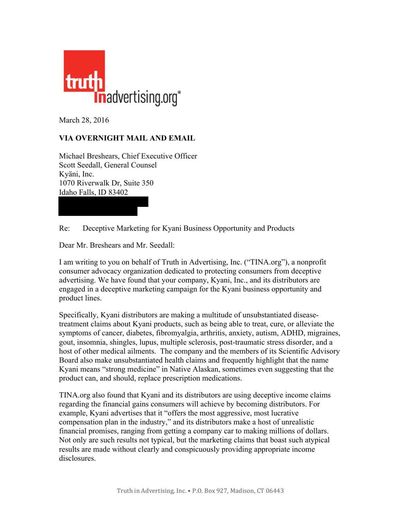

March 28, 2016

## **VIA OVERNIGHT MAIL AND EMAIL**

Michael Breshears, Chief Executive Officer Scott Seedall, General Counsel Kyäni, Inc. 1070 Riverwalk Dr, Suite 350 Idaho Falls, ID 83402

Re: Deceptive Marketing for Kyani Business Opportunity and Products

Dear Mr. Breshears and Mr. Seedall:

I am writing to you on behalf of Truth in Advertising, Inc. ("TINA.org"), a nonprofit consumer advocacy organization dedicated to protecting consumers from deceptive advertising. We have found that your company, Kyani, Inc., and its distributors are engaged in a deceptive marketing campaign for the Kyani business opportunity and product lines.

Specifically, Kyani distributors are making a multitude of unsubstantiated diseasetreatment claims about Kyani products, such as being able to treat, cure, or alleviate the symptoms of cancer, diabetes, fibromyalgia, arthritis, anxiety, autism, ADHD, migraines, gout, insomnia, shingles, lupus, multiple sclerosis, post-traumatic stress disorder, and a host of other medical ailments. The company and the members of its Scientific Advisory Board also make unsubstantiated health claims and frequently highlight that the name Kyani means "strong medicine" in Native Alaskan, sometimes even suggesting that the product can, and should, replace prescription medications.

TINA.org also found that Kyani and its distributors are using deceptive income claims regarding the financial gains consumers will achieve by becoming distributors. For example, Kyani advertises that it "offers the most aggressive, most lucrative compensation plan in the industry," and its distributors make a host of unrealistic financial promises, ranging from getting a company car to making millions of dollars. Not only are such results not typical, but the marketing claims that boast such atypical results are made without clearly and conspicuously providing appropriate income disclosures.